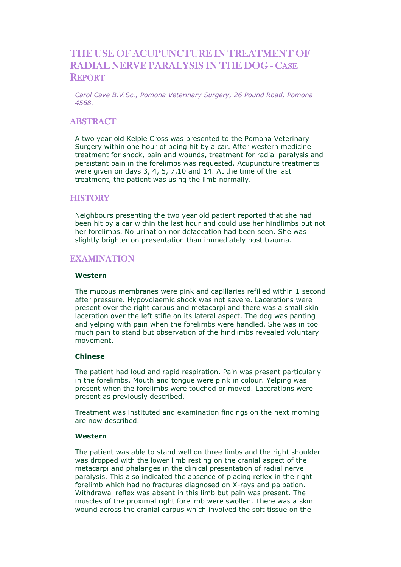# THE USE OF ACUPUNCTURE IN TREATMENT OF RADIAL NERVE PARALYSIS IN THE DOG - CASE **REPORT**

Carol Cave B.V.Sc., Pomona Veterinary Surgery, 26 Pound Road, Pomona 4568.

## **ABSTRACT**

A two year old Kelpie Cross was presented to the Pomona Veterinary Surgery within one hour of being hit by a car. After western medicine treatment for shock, pain and wounds, treatment for radial paralysis and persistant pain in the forelimbs was requested. Acupuncture treatments were given on days 3, 4, 5, 7,10 and 14. At the time of the last treatment, the patient was using the limb normally.

# **HISTORY**

Neighbours presenting the two year old patient reported that she had been hit by a car within the last hour and could use her hindlimbs but not her forelimbs. No urination nor defaecation had been seen. She was slightly brighter on presentation than immediately post trauma.

## **EXAMINATION**

### Western

The mucous membranes were pink and capillaries refilled within 1 second after pressure. Hypovolaemic shock was not severe. Lacerations were present over the right carpus and metacarpi and there was a small skin laceration over the left stifle on its lateral aspect. The dog was panting and yelping with pain when the forelimbs were handled. She was in too much pain to stand but observation of the hindlimbs revealed voluntary movement.

#### Chinese

The patient had loud and rapid respiration. Pain was present particularly in the forelimbs. Mouth and tongue were pink in colour. Yelping was present when the forelimbs were touched or moved. Lacerations were present as previously described.

Treatment was instituted and examination findings on the next morning are now described.

#### Western

The patient was able to stand well on three limbs and the right shoulder was dropped with the lower limb resting on the cranial aspect of the metacarpi and phalanges in the clinical presentation of radial nerve paralysis. This also indicated the absence of placing reflex in the right forelimb which had no fractures diagnosed on X-rays and palpation. Withdrawal reflex was absent in this limb but pain was present. The muscles of the proximal right forelimb were swollen. There was a skin wound across the cranial carpus which involved the soft tissue on the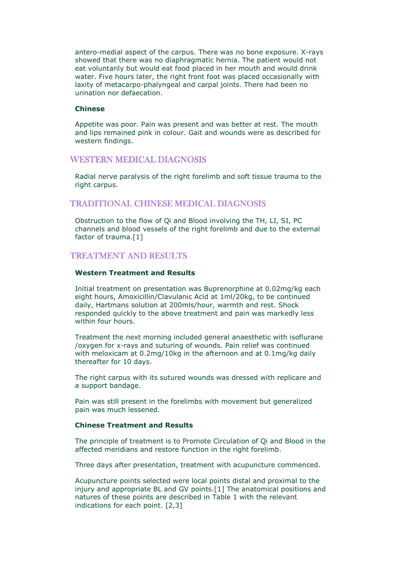antero-medial aspect of the carpus. There was no bone exposure. X-rays showed that there was no diaphragmatic hernia. The patient would not eat voluntarily but would eat food placed in her mouth and would drink water. Five hours later, the right front foot was placed occasionally with laxity of metacarpo-phalyngeal and carpal joints. There had been no urination nor defaecation.

## Chinese

Appetite was poor. Pain was present and was better at rest. The mouth and lips remained pink in colour. Gait and wounds were as described for western findings.

# WESTERN MEDICAL DIAGNOSIS

Radial nerve paralysis of the right forelimb and soft tissue trauma to the right carpus.

# TRADITIONAL CHINESE MEDICAL DIAGNOSIS

Obstruction to the flow of Qi and Blood involving the TH, LI, SI, PC channels and blood vessels of the right forelimb and due to the external factor of trauma.[1]

# TREATMENT AND RESULTS

### Western Treatment and Results

Initial treatment on presentation was Buprenorphine at 0.02mg/kg each eight hours, Amoxicillin/Clavulanic Acid at 1ml/20kg, to be continued daily, Hartmans solution at 200mls/hour, warmth and rest. Shock responded quickly to the above treatment and pain was markedly less within four hours.

Treatment the next morning included general anaesthetic with isoflurane /oxygen for x-rays and suturing of wounds. Pain relief was continued with meloxicam at 0.2mg/10kg in the afternoon and at 0.1mg/kg daily thereafter for 10 days.

The right carpus with its sutured wounds was dressed with replicare and a support bandage.

Pain was still present in the forelimbs with movement but generalized pain was much lessened.

### Chinese Treatment and Results

The principle of treatment is to Promote Circulation of Qi and Blood in the affected meridians and restore function in the right forelimb.

Three days after presentation, treatment with acupuncture commenced.

Acupuncture points selected were local points distal and proximal to the injury and appropriate BL and GV points.[1] The anatomical positions and natures of these points are described in Table 1 with the relevant indications for each point. [2,3]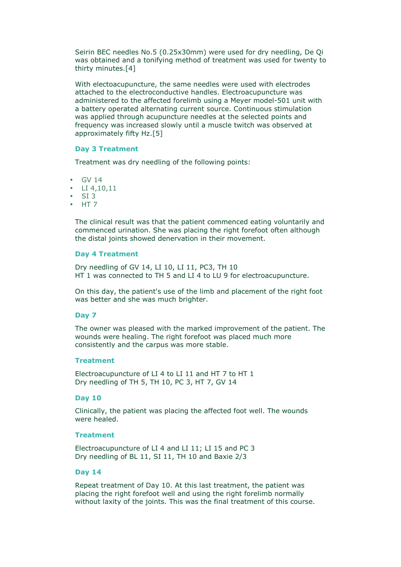Seirin BEC needles No.5 (0.25x30mm) were used for dry needling, De Qi was obtained and a tonifying method of treatment was used for twenty to thirty minutes.[4]

With electoacupuncture, the same needles were used with electrodes attached to the electroconductive handles. Electroacupuncture was administered to the affected forelimb using a Meyer model-501 unit with a battery operated alternating current source. Continuous stimulation was applied through acupuncture needles at the selected points and frequency was increased slowly until a muscle twitch was observed at approximately fifty Hz.[5]

#### Day 3 Treatment

Treatment was dry needling of the following points:

- GV 14
- LI 4,10,11
- SI 3
- HT 7

The clinical result was that the patient commenced eating voluntarily and commenced urination. She was placing the right forefoot often although the distal joints showed denervation in their movement.

### Day 4 Treatment

Dry needling of GV 14, LI 10, LI 11, PC3, TH 10 HT 1 was connected to TH 5 and LI 4 to LU 9 for electroacupuncture.

On this day, the patient's use of the limb and placement of the right foot was better and she was much brighter.

#### Day 7

The owner was pleased with the marked improvement of the patient. The wounds were healing. The right forefoot was placed much more consistently and the carpus was more stable.

#### **Treatment**

Electroacupuncture of LI 4 to LI 11 and HT 7 to HT 1 Dry needling of TH 5, TH 10, PC 3, HT 7, GV 14

### Day 10

Clinically, the patient was placing the affected foot well. The wounds were healed.

#### Treatment

Electroacupuncture of LI 4 and LI 11; LI 15 and PC 3 Dry needling of BL 11, SI 11, TH 10 and Baxie 2/3

### Day 14

Repeat treatment of Day 10. At this last treatment, the patient was placing the right forefoot well and using the right forelimb normally without laxity of the joints. This was the final treatment of this course.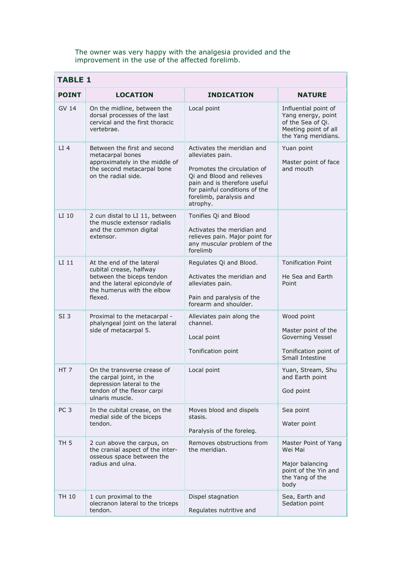The owner was very happy with the analgesia provided and the improvement in the use of the affected forelimb.

| <b>TABLE 1</b>  |                                                                                                                                                             |                                                                                                                                                                                                                    |                                                                                                                |  |
|-----------------|-------------------------------------------------------------------------------------------------------------------------------------------------------------|--------------------------------------------------------------------------------------------------------------------------------------------------------------------------------------------------------------------|----------------------------------------------------------------------------------------------------------------|--|
| <b>POINT</b>    | <b>LOCATION</b>                                                                                                                                             | <b>INDICATION</b>                                                                                                                                                                                                  | <b>NATURE</b>                                                                                                  |  |
| GV 14           | On the midline, between the<br>dorsal processes of the last<br>cervical and the first thoracic<br>vertebrae.                                                | Local point                                                                                                                                                                                                        | Influential point of<br>Yang energy, point<br>of the Sea of Oi.<br>Meeting point of all<br>the Yang meridians. |  |
| $LI$ 4          | Between the first and second<br>metacarpal bones<br>approximately in the middle of<br>the second metacarpal bone<br>on the radial side.                     | Activates the meridian and<br>alleviates pain.<br>Promotes the circulation of<br>Qi and Blood and relieves<br>pain and is therefore useful<br>for painful conditions of the<br>forelimb, paralysis and<br>atrophy. | Yuan point<br>Master point of face<br>and mouth                                                                |  |
| LI 10           | 2 cun distal to LI 11, between<br>the muscle extensor radialis<br>and the common digital<br>extensor.                                                       | Tonifies Qi and Blood<br>Activates the meridian and<br>relieves pain. Major point for<br>any muscular problem of the<br>forelimb                                                                                   |                                                                                                                |  |
| LI 11           | At the end of the lateral<br>cubital crease, halfway<br>between the biceps tendon<br>and the lateral epicondyle of<br>the humerus with the elbow<br>flexed. | Regulates Qi and Blood.<br>Activates the meridian and<br>alleviates pain.<br>Pain and paralysis of the<br>forearm and shoulder.                                                                                    | <b>Tonification Point</b><br>He Sea and Earth<br>Point                                                         |  |
| SI <sub>3</sub> | Proximal to the metacarpal -<br>phalyngeal joint on the lateral<br>side of metacarpal 5.                                                                    | Alleviates pain along the<br>channel.<br>Local point<br>Tonification point                                                                                                                                         | Wood point<br>Master point of the<br>Governing Vessel<br>Tonification point of<br>Small Intestine              |  |
| HT 7            | On the transverse crease of<br>the carpal joint, in the<br>depression lateral to the<br>tendon of the flexor carpi<br>ulnaris muscle.                       | Local point                                                                                                                                                                                                        | Yuan, Stream, Shu<br>and Earth point<br>God point                                                              |  |
| PC <sub>3</sub> | In the cubital crease, on the<br>medial side of the biceps<br>tendon.                                                                                       | Moves blood and dispels<br>stasis.<br>Paralysis of the foreleg.                                                                                                                                                    | Sea point<br>Water point                                                                                       |  |
| TH 5            | 2 cun above the carpus, on<br>the cranial aspect of the inter-<br>osseous space between the<br>radius and ulna.                                             | Removes obstructions from<br>the meridian.                                                                                                                                                                         | Master Point of Yang<br>Wei Mai<br>Major balancing<br>point of the Yin and<br>the Yang of the<br>body          |  |
| TH 10           | 1 cun proximal to the<br>olecranon lateral to the triceps<br>tendon.                                                                                        | Dispel stagnation<br>Regulates nutritive and                                                                                                                                                                       | Sea, Earth and<br>Sedation point                                                                               |  |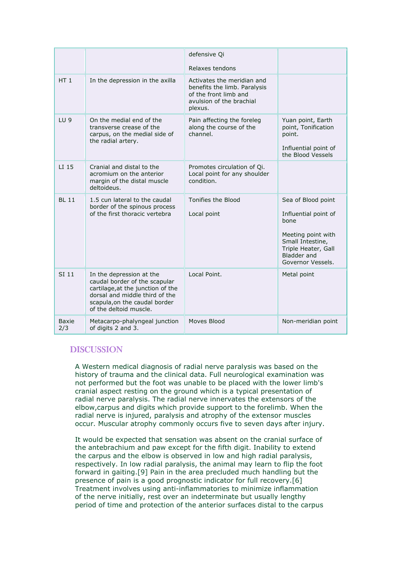|                 |                                                                                                                                                                                             | defensive Qi                                                                                                               |                                                                                                                                                         |
|-----------------|---------------------------------------------------------------------------------------------------------------------------------------------------------------------------------------------|----------------------------------------------------------------------------------------------------------------------------|---------------------------------------------------------------------------------------------------------------------------------------------------------|
|                 |                                                                                                                                                                                             | Relaxes tendons                                                                                                            |                                                                                                                                                         |
| HT <sub>1</sub> | In the depression in the axilla                                                                                                                                                             | Activates the meridian and<br>benefits the limb. Paralysis<br>of the front limb and<br>avulsion of the brachial<br>plexus. |                                                                                                                                                         |
| LU <sub>9</sub> | On the medial end of the<br>transverse crease of the<br>carpus, on the medial side of<br>the radial artery.                                                                                 | Pain affecting the foreleg<br>along the course of the<br>channel.                                                          | Yuan point, Earth<br>point, Tonification<br>point.<br>Influential point of<br>the Blood Vessels                                                         |
| LI 15           | Cranial and distal to the<br>acromium on the anterior<br>margin of the distal muscle<br>deltoideus.                                                                                         | Promotes circulation of Qi.<br>Local point for any shoulder<br>condition.                                                  |                                                                                                                                                         |
| <b>BL 11</b>    | 1.5 cun lateral to the caudal<br>border of the spinous process<br>of the first thoracic vertebra                                                                                            | Tonifies the Blood<br>Local point                                                                                          | Sea of Blood point<br>Influential point of<br>hone<br>Meeting point with<br>Small Intestine,<br>Triple Heater, Gall<br>Bladder and<br>Governor Vessels. |
| SI 11           | In the depression at the<br>caudal border of the scapular<br>cartilage, at the junction of the<br>dorsal and middle third of the<br>scapula, on the caudal border<br>of the deltoid muscle. | Local Point.                                                                                                               | Metal point                                                                                                                                             |
| Baxie<br>2/3    | Metacarpo-phalyngeal junction<br>of digits 2 and 3.                                                                                                                                         | Moves Blood                                                                                                                | Non-meridian point                                                                                                                                      |

# **DISCUSSION**

A Western medical diagnosis of radial nerve paralysis was based on the history of trauma and the clinical data. Full neurological examination was not performed but the foot was unable to be placed with the lower limb's cranial aspect resting on the ground which is a typical presentation of radial nerve paralysis. The radial nerve innervates the extensors of the elbow,carpus and digits which provide support to the forelimb. When the radial nerve is injured, paralysis and atrophy of the extensor muscles occur. Muscular atrophy commonly occurs five to seven days after injury.

It would be expected that sensation was absent on the cranial surface of the antebrachium and paw except for the fifth digit. Inability to extend the carpus and the elbow is observed in low and high radial paralysis, respectively. In low radial paralysis, the animal may learn to flip the foot forward in gaiting.[9] Pain in the area precluded much handling but the presence of pain is a good prognostic indicator for full recovery.[6] Treatment involves using anti-inflammatories to minimize inflammation of the nerve initially, rest over an indeterminate but usually lengthy period of time and protection of the anterior surfaces distal to the carpus